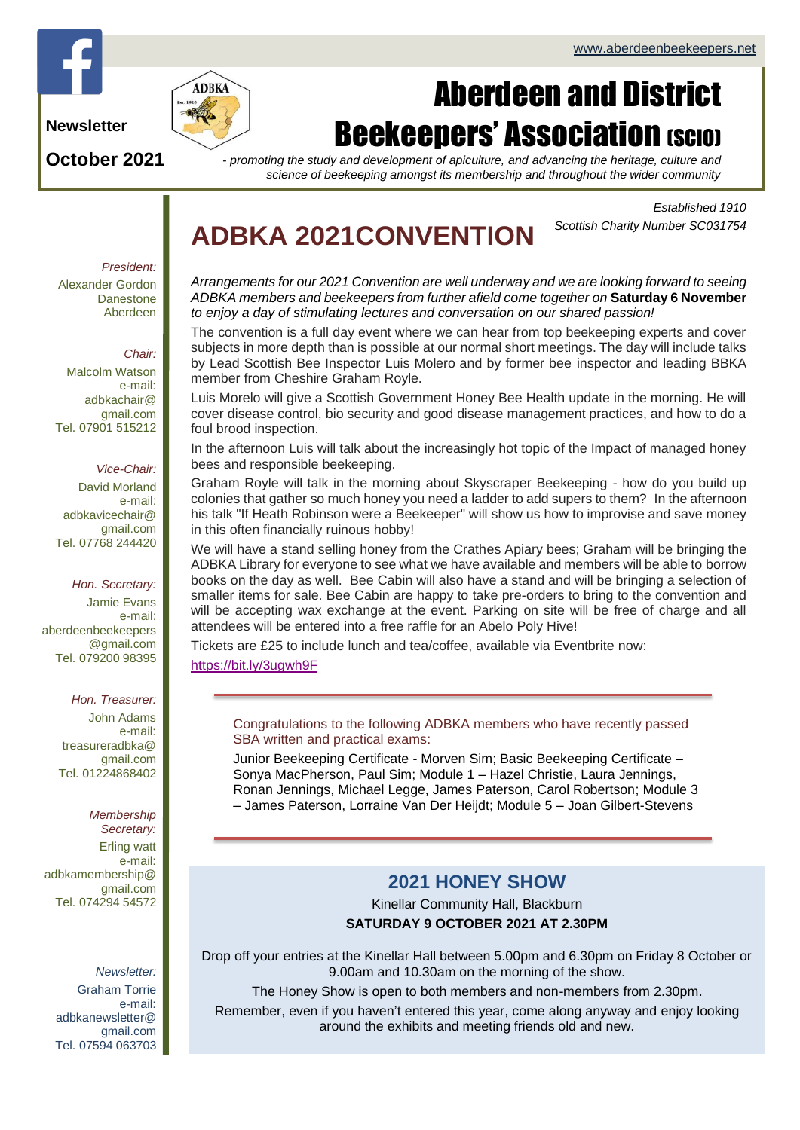

**Newsletter**

**October 2021**



# Aberdeen and District **Beekeepers' Association (SCIO)**

*- promoting the study and development of apiculture, and advancing the heritage, culture and science of beekeeping amongst its membership and throughout the wider community*

> *Established 1910 Scottish Charity Number SC031754*

## **ADBKA 2021CONVENTION**

*President:* Alexander Gordon Danestone Aberdeen

### *Chair:*

Malcolm Watson e-mail: adbkachair@ gmail.com Tel. 07901 515212

#### *Vice-Chair:*

David Morland e-mail: adbkavicechair@ gmail.com Tel. 07768 244420

*Hon. Secretary:* Jamie Evans e-mail: [aberdeenbeekeepers](mailto:aberdeenbeekeepers@gmail.com) [@gmail.com](mailto:aberdeenbeekeepers@gmail.com) Tel. 079200 98395

#### *Hon. Treasurer:*

John Adams e-mail: treasureradbka@ gmail.com Tel. 01224868402

#### *Membership Secretary:*

Erling watt e-mail: adbkamembership@ gmail.com Tel. 074294 54572

## *Newsletter:*

Graham Torrie e-mail: adbkanewsletter@ gmail.com Tel. 07594 063703 *Arrangements for our 2021 Convention are well underway and we are looking forward to seeing ADBKA members and beekeepers from further afield come together on* **Saturday 6 November** *to enjoy a day of stimulating lectures and conversation on our shared passion!*

The convention is a full day event where we can hear from top beekeeping experts and cover subjects in more depth than is possible at our normal short meetings. The day will include talks by Lead Scottish Bee Inspector Luis Molero and by former bee inspector and leading BBKA member from Cheshire Graham Royle.

Luis Morelo will give a Scottish Government Honey Bee Health update in the morning. He will cover disease control, bio security and good disease management practices, and how to do a foul brood inspection.

In the afternoon Luis will talk about the increasingly hot topic of the Impact of managed honey bees and responsible beekeeping.

Graham Royle will talk in the morning about Skyscraper Beekeeping - how do you build up colonies that gather so much honey you need a ladder to add supers to them? In the afternoon his talk "If Heath Robinson were a Beekeeper" will show us how to improvise and save money in this often financially ruinous hobby!

We will have a stand selling honey from the Crathes Apiary bees; Graham will be bringing the ADBKA Library for everyone to see what we have available and members will be able to borrow books on the day as well. Bee Cabin will also have a stand and will be bringing a selection of smaller items for sale. Bee Cabin are happy to take pre-orders to bring to the convention and will be accepting wax exchange at the event. Parking on site will be free of charge and all attendees will be entered into a free raffle for an Abelo Poly Hive!

Tickets are £25 to include lunch and tea/coffee, available via Eventbrite now:

<https://bit.ly/3ugwh9F>

Congratulations to the following ADBKA members who have recently passed SBA written and practical exams:

Junior Beekeeping Certificate - Morven Sim; Basic Beekeeping Certificate – Sonya MacPherson, Paul Sim; Module 1 – Hazel Christie, Laura Jennings, Ronan Jennings, Michael Legge, James Paterson, Carol Robertson; Module 3 – James Paterson, Lorraine Van Der Heijdt; Module 5 – Joan Gilbert-Stevens

## **2021 HONEY SHOW**

Kinellar Community Hall, Blackburn **SATURDAY 9 OCTOBER 2021 AT 2.30PM**

Drop off your entries at the Kinellar Hall between 5.00pm and 6.30pm on Friday 8 October or 9.00am and 10.30am on the morning of the show.

The Honey Show is open to both members and non-members from 2.30pm.

Remember, even if you haven't entered this year, come along anyway and enjoy looking around the exhibits and meeting friends old and new.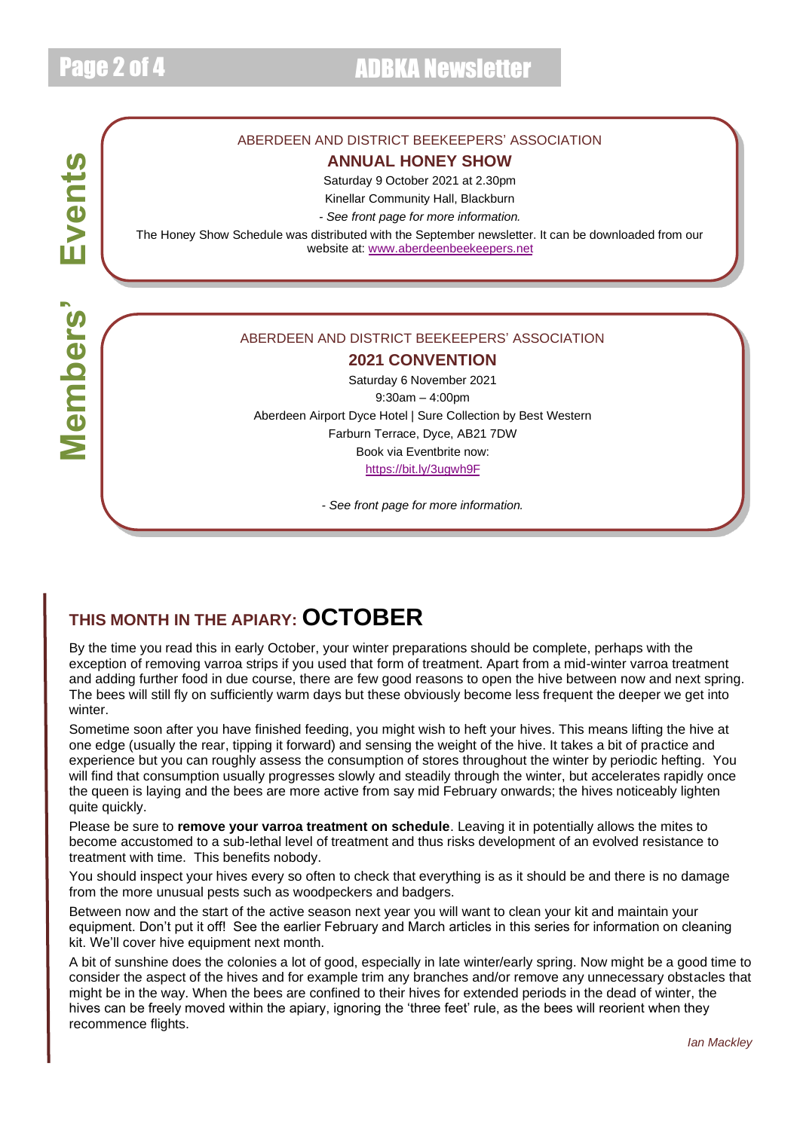# Events **Members' Events Members'**

## ABERDEEN AND DISTRICT BEEKEEPERS' ASSOCIATION

## **ANNUAL HONEY SHOW**

Saturday 9 October 2021 at 2.30pm

Kinellar Community Hall, Blackburn

*- See front page for more information.*

The Honey Show Schedule was distributed with the September newsletter. It can be downloaded from our website at: [www.aberdeenbeekeepers.net](http://www.aberdeenbeekeepers.net/)

#### ABERDEEN AND DISTRICT BEEKEEPERS' ASSOCIATION

## **2021 CONVENTION**

Saturday 6 November 2021 9:30am – 4:00pm Aberdeen Airport Dyce Hotel | Sure Collection by Best Western Farburn Terrace, Dyce, AB21 7DW Book via Eventbrite now: <https://bit.ly/3ugwh9F>

*- See front page for more information.*

## **THIS MONTH IN THE APIARY: OCTOBER**

By the time you read this in early October, your winter preparations should be complete, perhaps with the exception of removing varroa strips if you used that form of treatment. Apart from a mid-winter varroa treatment and adding further food in due course, there are few good reasons to open the hive between now and next spring. The bees will still fly on sufficiently warm days but these obviously become less frequent the deeper we get into winter.

Sometime soon after you have finished feeding, you might wish to heft your hives. This means lifting the hive at one edge (usually the rear, tipping it forward) and sensing the weight of the hive. It takes a bit of practice and experience but you can roughly assess the consumption of stores throughout the winter by periodic hefting. You will find that consumption usually progresses slowly and steadily through the winter, but accelerates rapidly once the queen is laying and the bees are more active from say mid February onwards; the hives noticeably lighten quite quickly.

Please be sure to **remove your varroa treatment on schedule**. Leaving it in potentially allows the mites to become accustomed to a sub-lethal level of treatment and thus risks development of an evolved resistance to treatment with time. This benefits nobody.

You should inspect your hives every so often to check that everything is as it should be and there is no damage from the more unusual pests such as woodpeckers and badgers.

Between now and the start of the active season next year you will want to clean your kit and maintain your equipment. Don't put it off! See the earlier February and March articles in this series for information on cleaning kit. We'll cover hive equipment next month.

A bit of sunshine does the colonies a lot of good, especially in late winter/early spring. Now might be a good time to consider the aspect of the hives and for example trim any branches and/or remove any unnecessary obstacles that might be in the way. When the bees are confined to their hives for extended periods in the dead of winter, the hives can be freely moved within the apiary, ignoring the 'three feet' rule, as the bees will reorient when they recommence flights.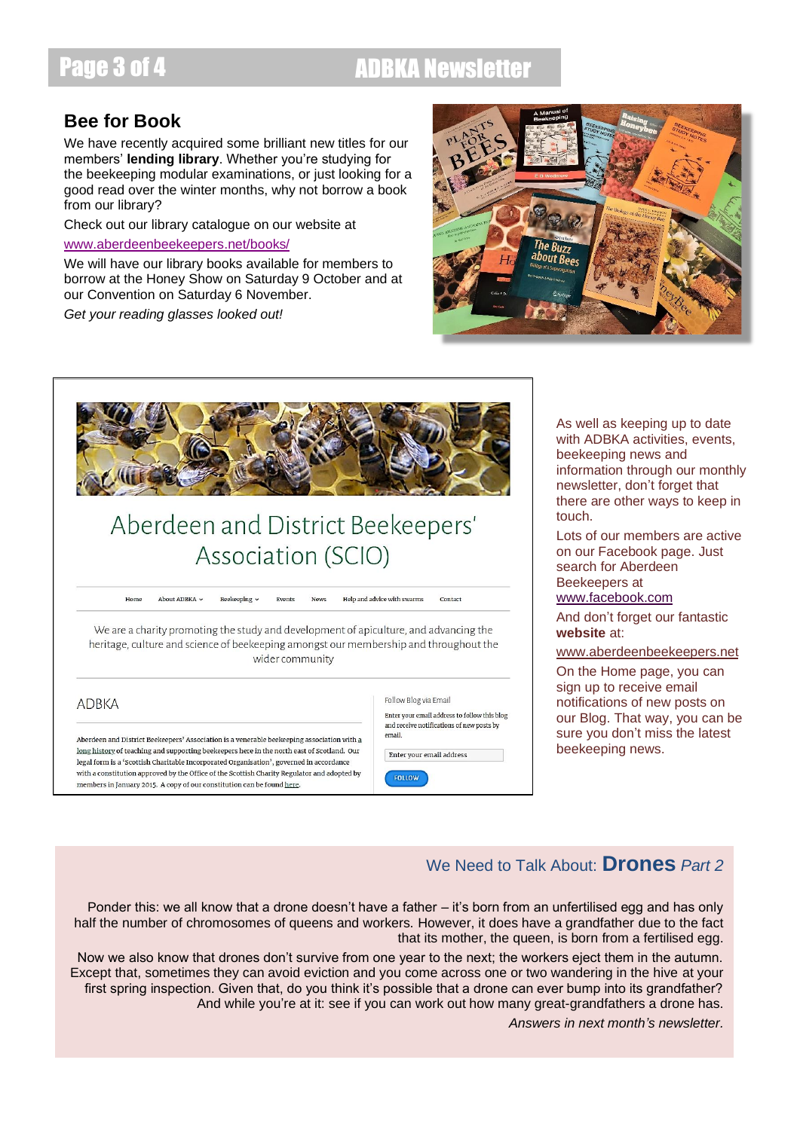## Page 3 of 4 ADBKA Newsletter

## **Bee for Book**

We have recently acquired some brilliant new titles for our members' **lending library**. Whether you're studying for the beekeeping modular examinations, or just looking for a good read over the winter months, why not borrow a book from our library?

Check out our library catalogue on our website at

### [www.aberdeenbeekeepers.net/books/](http://www.aberdeenbeekeepers.net/books/)

We will have our library books available for members to borrow at the Honey Show on Saturday 9 October and at our Convention on Saturday 6 November.

*Get your reading glasses looked out!*





## Aberdeen and District Beekeepers' Association (SCIO)

 $Hom<sub>6</sub>$ About ADBKA v Help and advice with swarms Contact Beekeeping v

We are a charity promoting the study and development of apiculture, and advancing the heritage, culture and science of beekeeping amongst our membership and throughout the wider community

**ADBKA** 

Aberdeen and District Beekeepers' Association is a venerable beekeeping association with a long history of teaching and supporting beekeepers here in the north east of Scotland. Our legal form is a 'Scottish Charitable Incorporated Organisation', governed in accordance with a constitution approved by the Office of the Scottish Charity Regulator and adopted by members in January 2015. A copy of our constitution can be found here.



As well as keeping up to date with ADBKA activities, events, beekeeping news and information through our monthly newsletter, don't forget that there are other ways to keep in touch.

Lots of our members are active on our Facebook page. Just search for Aberdeen Beekeepers at

## [www.facebook.com](http://www.facebook.com/)

And don't forget our fantastic **website** at:

## [www.aberdeenbeekeepers.net](http://www.aberdeenbeekeepers.net/)

On the Home page, you can sign up to receive email notifications of new posts on our Blog. That way, you can be sure you don't miss the latest beekeeping news.

## We Need to Talk About: **Drones** *Part 2*

Ponder this: we all know that a drone doesn't have a father – it's born from an unfertilised egg and has only half the number of chromosomes of queens and workers. However, it does have a grandfather due to the fact that its mother, the queen, is born from a fertilised egg.

Now we also know that drones don't survive from one year to the next; the workers eject them in the autumn. Except that, sometimes they can avoid eviction and you come across one or two wandering in the hive at your first spring inspection. Given that, do you think it's possible that a drone can ever bump into its grandfather? And while you're at it: see if you can work out how many great-grandfathers a drone has.

*Answers in next month's newsletter.*